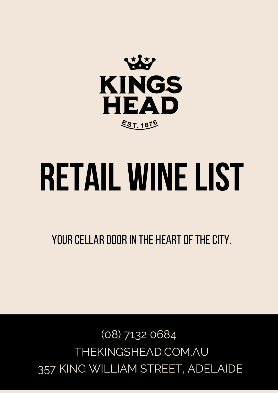

# **retail winelist**

YOUR CELLAR DOOR IN THE HEART OF THE CITY.

357 KING WILLIAM STREET, ADELAIDE THEKINGSHEAD.COM.AU (08) 7132 0684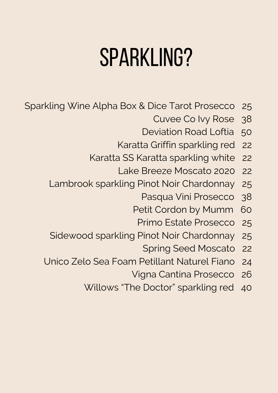## sparkling?

- Sparkling Wine Alpha Box & Dice Tarot Prosecco 25
	- Cuvee Co Ivy Rose 38
	- Deviation Road Loftia 50
	- Karatta Griffin sparkling red 22
	- Karatta SS Karatta sparkling white 22
		- Lake Breeze Moscato 2020 22
	- Lambrook sparkling Pinot Noir Chardonnay 25
		- Pasqua Vini Prosecco 38
		- Petit Cordon by Mumm 60
			- Primo Estate Prosecco 25
	- Sidewood sparkling Pinot Noir Chardonnay 25
		- Spring Seed Moscato 22
	- Unico Zelo Sea Foam Petillant Naturel Fiano 24
		- Vigna Cantina Prosecco 26
		- Willows "The Doctor" sparkling red 40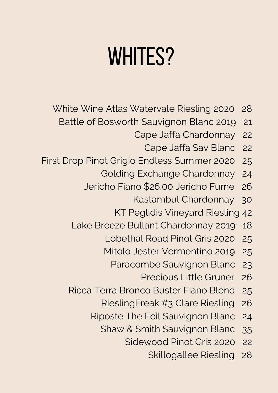### WHITES?

- White Wine Atlas Watervale Riesling 2020 28
	- Battle of Bosworth Sauvignon Blanc 2019 21
		- Cape Jaffa Chardonnay 22
			- Cape Jaffa Sav Blanc 22
- First Drop Pinot Grigio Endless Summer 2020 25
	- Golding Exchange Chardonnay 24
	- Jericho Fiano \$26.00 Jericho Fume 26
		- Kastambul Chardonnay 30
		- KT Peglidis Vineyard Riesling 42
	- Lake Breeze Bullant Chardonnay 2019 18
		- Lobethal Road Pinot Gris 2020 25
		- Mitolo Jester Vermentino 2019 25
			- Paracombe Sauvignon Blanc 23
				- Precious Little Gruner 26
	- Ricca Terra Bronco Buster Fiano Blend 25
		- RieslingFreak #3 Clare Riesling 26
		- Riposte The Foil Sauvignon Blanc 24
			- Shaw & Smith Sauvignon Blanc 35
				- Sidewood Pinot Gris 2020 22
					- Skillogallee Riesling 28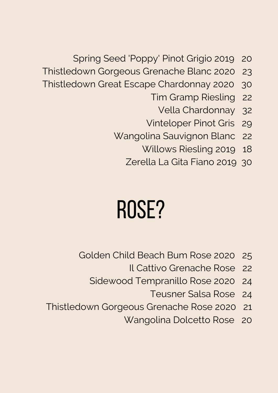- Spring Seed 'Poppy' Pinot Grigio 2019 20
- Thistledown Gorgeous Grenache Blanc 2020 23
- Thistledown Great Escape Chardonnay 2020 30
	- Tim Gramp Riesling 22
		- Vella Chardonnay 32
	- Vinteloper Pinot Gris 29
	- Wangolina Sauvignon Blanc 22
		- Willows Riesling 2019 18
		- Zerella La Gita Fiano 2019 30

#### ROSE?

- Golden Child Beach Bum Rose 2020 25
	- Il Cattivo Grenache Rose 22
	- Sidewood Tempranillo Rose 2020 24
		- Teusner Salsa Rose 24
- Thistledown Gorgeous Grenache Rose 2020 21
	- Wangolina Dolcetto Rose 20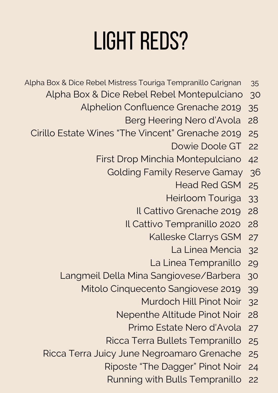## **LIGHT REDS?**

- Alpha Box & Dice Rebel Mistress Touriga Tempranillo Carignan 35
	- Alpha Box & Dice Rebel Rebel Montepulciano 30
		- Alphelion Confluence Grenache 2019 35
			- Berg Heering Nero d'Avola 28
	- Cirillo Estate Wines "The Vincent" Grenache 2019 25
		- Dowie Doole GT 22
		- First Drop Minchia Montepulciano 42
			- Golding Family Reserve Gamay 36
				- Head Red GSM 25
				- Heirloom Touriga 33
				- Il Cattivo Grenache 2019 28
				- Il Cattivo Tempranillo 2020 28
					- Kalleske Clarrys GSM 27
						- La Linea Mencia 32
					- La Linea Tempranillo 29
		- Langmeil Della Mina Sangiovese/Barbera 30
			- Mitolo Cinquecento Sangiovese 2019 39
				- Murdoch Hill Pinot Noir 32
				- Nepenthe Altitude Pinot Noir 28
					- Primo Estate Nero d'Avola 27
				- Ricca Terra Bullets Tempranillo 25
		- Ricca Terra Juicy June Negroamaro Grenache 25
			- Riposte "The Dagger" Pinot Noir 24
			- Running with Bulls Tempranillo 22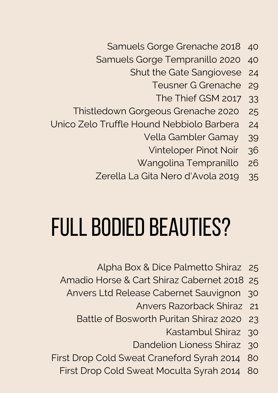- Samuels Gorge Grenache 2018 40
- Samuels Gorge Tempranillo 2020 40
	- Shut the Gate Sangiovese 24
		- Teusner G Grenache 29
			- The Thief GSM 2017 33
- Thistledown Gorgeous Grenache 2020 25
- Unico Zelo Truffle Hound Nebbiolo Barbera 24
	- Vella Gambler Gamay 39
		- Vinteloper Pinot Noir 36
	- Wangolina Tempranillo 26
	- Zerella La Gita Nero d'Avola 2019 35

#### FULL BODIED BEAUTIES?

- Alpha Box & Dice Palmetto Shiraz 25
- Amadio Horse & Cart Shiraz Cabernet 2018 25
	- Anvers Ltd Release Cabernet Sauvignon 30
		- Anvers Razorback Shiraz 21
		- Battle of Bosworth Puritan Shiraz 2020 23
			- Kastambul Shiraz 30
			- Dandelion Lioness Shiraz 30
- First Drop Cold Sweat Craneford Syrah 2014 80
	- First Drop Cold Sweat Moculta Syrah 2014 80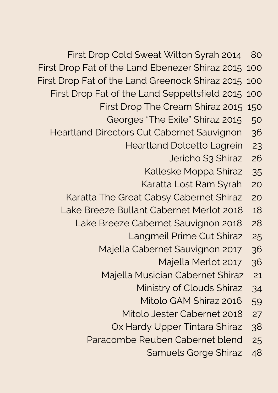- First Drop Cold Sweat Wilton Syrah 2014 80
- First Drop Fat of the Land Ebenezer Shiraz 2015 100
- First Drop Fat of the Land Greenock Shiraz 2015 100
	- First Drop Fat of the Land Seppeltsfield 2015 100
		- First Drop The Cream Shiraz 2015 150
			- Georges "The Exile" Shiraz 2015 50
	- Heartland Directors Cut Cabernet Sauvignon 36
		- Heartland Dolcetto Lagrein 23
			- Jericho S3 Shiraz 26
			- Kalleske Moppa Shiraz 35
			- Karatta Lost Ram Syrah 20
		- Karatta The Great Cabsy Cabernet Shiraz 20
		- Lake Breeze Bullant Cabernet Merlot 2018 18
			- Lake Breeze Cabernet Sauvignon 2018 28
				- Langmeil Prime Cut Shiraz 25
				- Majella Cabernet Sauvignon 2017 36
					- Majella Merlot 2017 36
					- Majella Musician Cabernet Shiraz 21
						- Ministry of Clouds Shiraz 34
							- Mitolo GAM Shiraz 2016 59
						- Mitolo Jester Cabernet 2018 27
						- Ox Hardy Upper Tintara Shiraz 38
				- Paracombe Reuben Cabernet blend 25
					- Samuels Gorge Shiraz 48